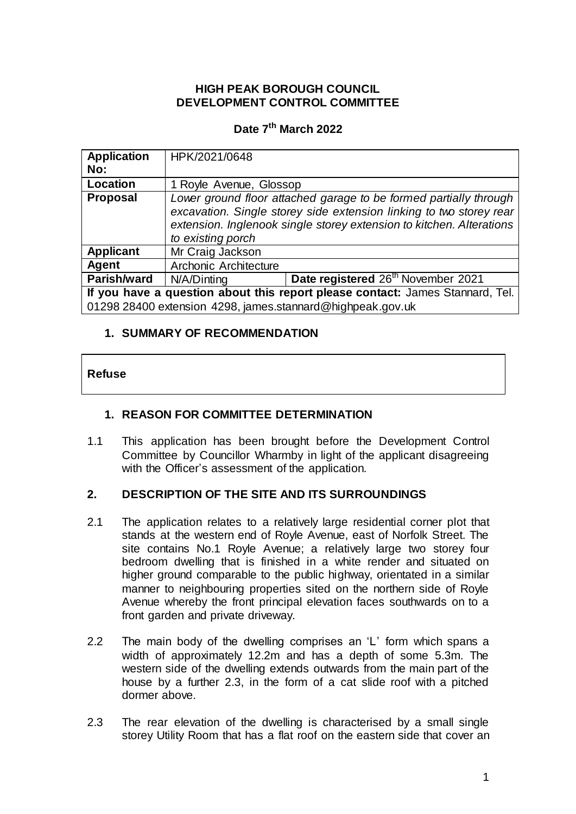### **HIGH PEAK BOROUGH COUNCIL DEVELOPMENT CONTROL COMMITTEE**

### **Date 7 th March 2022**

| <b>Application</b>                                                            | HPK/2021/0648                                                        |                                                |  |
|-------------------------------------------------------------------------------|----------------------------------------------------------------------|------------------------------------------------|--|
| No:                                                                           |                                                                      |                                                |  |
| Location                                                                      | 1 Royle Avenue, Glossop                                              |                                                |  |
| <b>Proposal</b>                                                               | Lower ground floor attached garage to be formed partially through    |                                                |  |
|                                                                               | excavation. Single storey side extension linking to two storey rear  |                                                |  |
|                                                                               | extension. Inglenook single storey extension to kitchen. Alterations |                                                |  |
|                                                                               | to existing porch                                                    |                                                |  |
| <b>Applicant</b>                                                              | Mr Craig Jackson                                                     |                                                |  |
| Agent                                                                         | Archonic Architecture                                                |                                                |  |
| Parish/ward                                                                   | N/A/Dinting                                                          | Date registered 26 <sup>th</sup> November 2021 |  |
| If you have a question about this report please contact: James Stannard, Tel. |                                                                      |                                                |  |
| 01298 28400 extension 4298, james.stannard@highpeak.gov.uk                    |                                                                      |                                                |  |

#### **1. SUMMARY OF RECOMMENDATION**

| <b>Refuse</b> |
|---------------|
|---------------|

## **1. REASON FOR COMMITTEE DETERMINATION**

1.1 This application has been brought before the Development Control Committee by Councillor Wharmby in light of the applicant disagreeing with the Officer's assessment of the application.

#### **2. DESCRIPTION OF THE SITE AND ITS SURROUNDINGS**

- 2.1 The application relates to a relatively large residential corner plot that stands at the western end of Royle Avenue, east of Norfolk Street. The site contains No.1 Royle Avenue; a relatively large two storey four bedroom dwelling that is finished in a white render and situated on higher ground comparable to the public highway, orientated in a similar manner to neighbouring properties sited on the northern side of Royle Avenue whereby the front principal elevation faces southwards on to a front garden and private driveway.
- 2.2 The main body of the dwelling comprises an 'L' form which spans a width of approximately 12.2m and has a depth of some 5.3m. The western side of the dwelling extends outwards from the main part of the house by a further 2.3, in the form of a cat slide roof with a pitched dormer above.
- 2.3 The rear elevation of the dwelling is characterised by a small single storey Utility Room that has a flat roof on the eastern side that cover an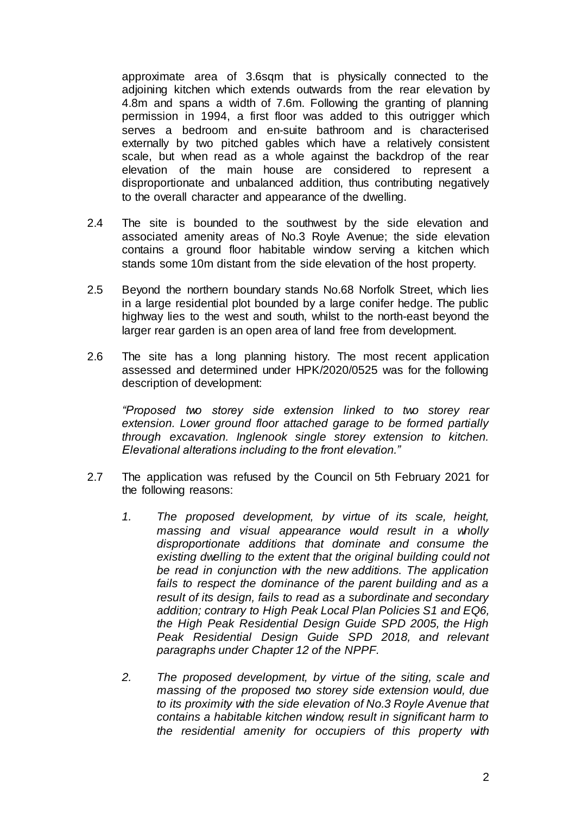approximate area of 3.6sqm that is physically connected to the adjoining kitchen which extends outwards from the rear elevation by 4.8m and spans a width of 7.6m. Following the granting of planning permission in 1994, a first floor was added to this outrigger which serves a bedroom and en-suite bathroom and is characterised externally by two pitched gables which have a relatively consistent scale, but when read as a whole against the backdrop of the rear elevation of the main house are considered to represent a disproportionate and unbalanced addition, thus contributing negatively to the overall character and appearance of the dwelling.

- 2.4 The site is bounded to the southwest by the side elevation and associated amenity areas of No.3 Royle Avenue; the side elevation contains a ground floor habitable window serving a kitchen which stands some 10m distant from the side elevation of the host property.
- 2.5 Beyond the northern boundary stands No.68 Norfolk Street, which lies in a large residential plot bounded by a large conifer hedge. The public highway lies to the west and south, whilst to the north-east beyond the larger rear garden is an open area of land free from development.
- 2.6 The site has a long planning history. The most recent application assessed and determined under HPK/2020/0525 was for the following description of development:

*"Proposed two storey side extension linked to two storey rear extension. Lower ground floor attached garage to be formed partially through excavation. Inglenook single storey extension to kitchen. Elevational alterations including to the front elevation."*

- 2.7 The application was refused by the Council on 5th February 2021 for the following reasons:
	- *1. The proposed development, by virtue of its scale, height, massing and visual appearance would result in a wholly disproportionate additions that dominate and consume the existing dwelling to the extent that the original building could not be read in conjunction with the new additions. The application fails to respect the dominance of the parent building and as a result of its design, fails to read as a subordinate and secondary addition; contrary to High Peak Local Plan Policies S1 and EQ6, the High Peak Residential Design Guide SPD 2005, the High Peak Residential Design Guide SPD 2018, and relevant paragraphs under Chapter 12 of the NPPF.*
	- *2. The proposed development, by virtue of the siting, scale and massing of the proposed two storey side extension would, due to its proximity with the side elevation of No.3 Royle Avenue that contains a habitable kitchen window, result in significant harm to the residential amenity for occupiers of this property with*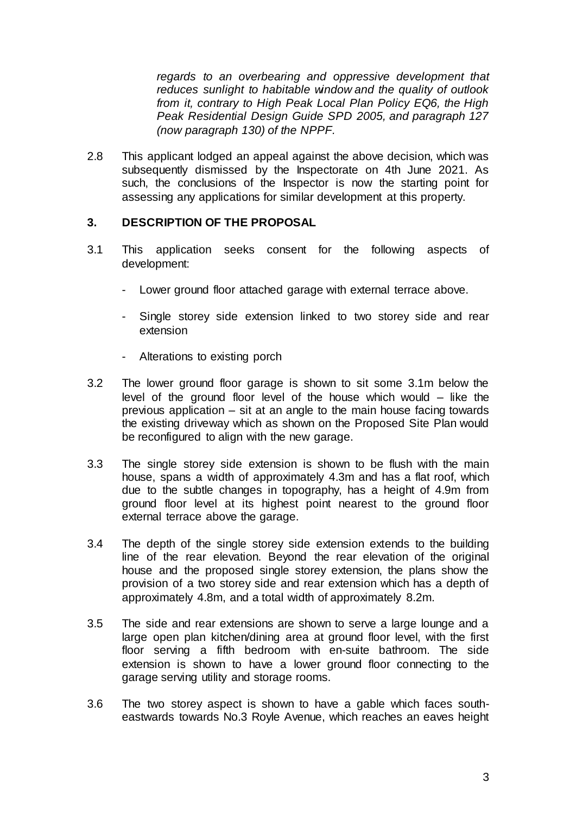*regards to an overbearing and oppressive development that reduces sunlight to habitable window and the quality of outlook from it, contrary to High Peak Local Plan Policy EQ6, the High Peak Residential Design Guide SPD 2005, and paragraph 127 (now paragraph 130) of the NPPF.*

2.8 This applicant lodged an appeal against the above decision, which was subsequently dismissed by the Inspectorate on 4th June 2021. As such, the conclusions of the Inspector is now the starting point for assessing any applications for similar development at this property.

### **3. DESCRIPTION OF THE PROPOSAL**

- 3.1 This application seeks consent for the following aspects of development:
	- Lower ground floor attached garage with external terrace above.
	- Single storey side extension linked to two storey side and rear extension
	- Alterations to existing porch
- 3.2 The lower ground floor garage is shown to sit some 3.1m below the level of the ground floor level of the house which would – like the previous application – sit at an angle to the main house facing towards the existing driveway which as shown on the Proposed Site Plan would be reconfigured to align with the new garage.
- 3.3 The single storey side extension is shown to be flush with the main house, spans a width of approximately 4.3m and has a flat roof, which due to the subtle changes in topography, has a height of 4.9m from ground floor level at its highest point nearest to the ground floor external terrace above the garage.
- 3.4 The depth of the single storey side extension extends to the building line of the rear elevation. Beyond the rear elevation of the original house and the proposed single storey extension, the plans show the provision of a two storey side and rear extension which has a depth of approximately 4.8m, and a total width of approximately 8.2m.
- 3.5 The side and rear extensions are shown to serve a large lounge and a large open plan kitchen/dining area at ground floor level, with the first floor serving a fifth bedroom with en-suite bathroom. The side extension is shown to have a lower ground floor connecting to the garage serving utility and storage rooms.
- 3.6 The two storey aspect is shown to have a gable which faces southeastwards towards No.3 Royle Avenue, which reaches an eaves height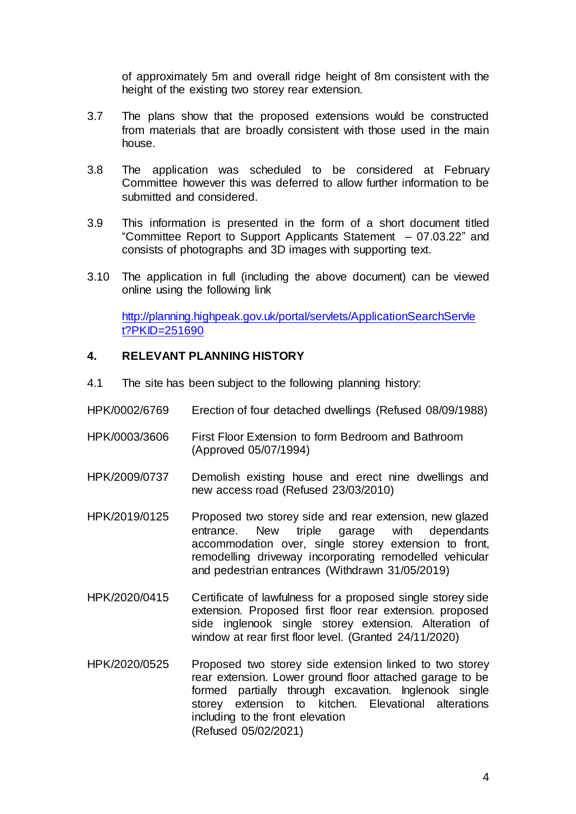of approximately 5m and overall ridge height of 8m consistent with the height of the existing two storey rear extension.

- 3.7 The plans show that the proposed extensions would be constructed from materials that are broadly consistent with those used in the main house.
- 3.8 The application was scheduled to be considered at February Committee however this was deferred to allow further information to be submitted and considered.
- 3.9 This information is presented in the form of a short document titled "Committee Report to Support Applicants Statement – 07.03.22" and consists of photographs and 3D images with supporting text.
- 3.10 The application in full (including the above document) can be viewed online using the following link

[http://planning.highpeak.gov.uk/portal/servlets/ApplicationSearchServle](http://planning.highpeak.gov.uk/portal/servlets/ApplicationSearchServlet?PKID=251690) [t?PKID=251690](http://planning.highpeak.gov.uk/portal/servlets/ApplicationSearchServlet?PKID=251690)

### **4. RELEVANT PLANNING HISTORY**

- 4.1 The site has been subject to the following planning history:
- HPK/0002/6769 Erection of four detached dwellings (Refused 08/09/1988)
- HPK/0003/3606 First Floor Extension to form Bedroom and Bathroom (Approved 05/07/1994)
- HPK/2009/0737 Demolish existing house and erect nine dwellings and new access road (Refused 23/03/2010)
- HPK/2019/0125 Proposed two storey side and rear extension, new glazed entrance. New triple garage with dependants accommodation over, single storey extension to front, remodelling driveway incorporating remodelled vehicular and pedestrian entrances (Withdrawn 31/05/2019)
- HPK/2020/0415 Certificate of lawfulness for a proposed single storey side extension. Proposed first floor rear extension. proposed side inglenook single storey extension. Alteration of window at rear first floor level. (Granted 24/11/2020)
- HPK/2020/0525 Proposed two storey side extension linked to two storey rear extension. Lower ground floor attached garage to be formed partially through excavation. Inglenook single storey extension to kitchen. Elevational alterations including to the front elevation (Refused 05/02/2021)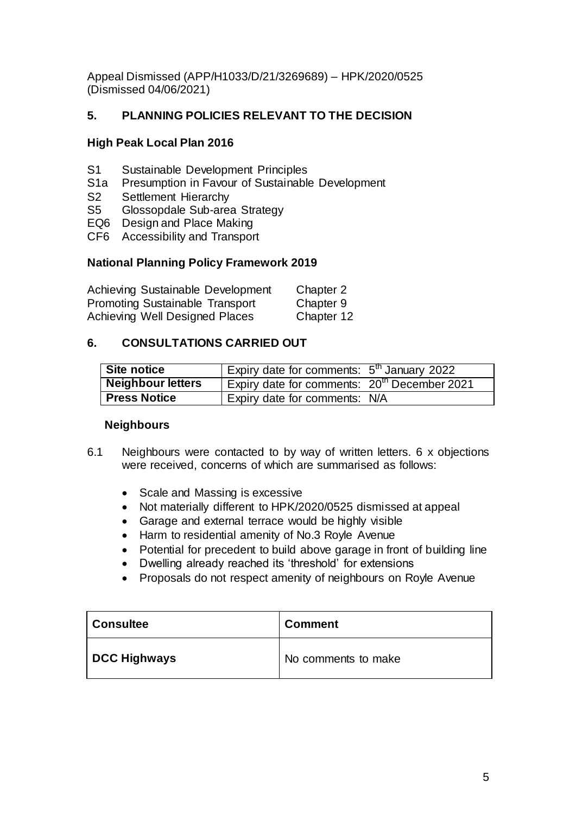Appeal Dismissed (APP/H1033/D/21/3269689) – HPK/2020/0525 (Dismissed 04/06/2021)

# **5. PLANNING POLICIES RELEVANT TO THE DECISION**

## **High Peak Local Plan 2016**

- S1 Sustainable Development Principles
- S1a Presumption in Favour of Sustainable Development
- S2 Settlement Hierarchy
- S5 Glossopdale Sub-area Strategy
- EQ6 Design and Place Making
- CF6 Accessibility and Transport

### **National Planning Policy Framework 2019**

| Achieving Sustainable Development      | Chapter 2  |
|----------------------------------------|------------|
| <b>Promoting Sustainable Transport</b> | Chapter 9  |
| Achieving Well Designed Places         | Chapter 12 |

### **6. CONSULTATIONS CARRIED OUT**

| Site notice         | Expiry date for comments: 5 <sup>th</sup> January 2022   |  |
|---------------------|----------------------------------------------------------|--|
| Neighbour letters   | Expiry date for comments: 20 <sup>th</sup> December 2021 |  |
| <b>Press Notice</b> | Expiry date for comments: N/A                            |  |

#### **Neighbours**

- 6.1 Neighbours were contacted to by way of written letters. 6 x objections were received, concerns of which are summarised as follows:
	- Scale and Massing is excessive
	- Not materially different to HPK/2020/0525 dismissed at appeal
	- Garage and external terrace would be highly visible
	- Harm to residential amenity of No.3 Royle Avenue
	- Potential for precedent to build above garage in front of building line
	- Dwelling already reached its 'threshold' for extensions
	- Proposals do not respect amenity of neighbours on Royle Avenue

| <b>Consultee</b>    | <b>Comment</b>      |  |
|---------------------|---------------------|--|
| <b>DCC Highways</b> | No comments to make |  |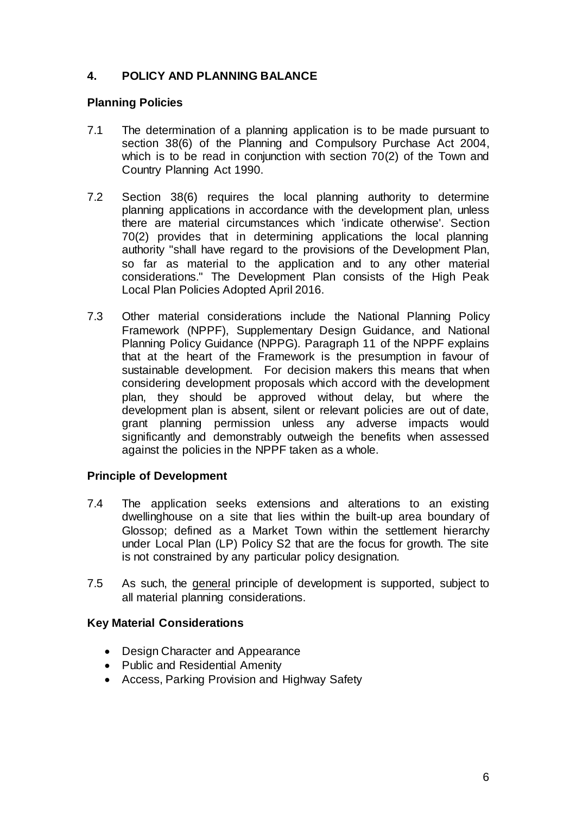## **4. POLICY AND PLANNING BALANCE**

### **Planning Policies**

- 7.1 The determination of a planning application is to be made pursuant to section 38(6) of the Planning and Compulsory Purchase Act 2004, which is to be read in conjunction with section 70(2) of the Town and Country Planning Act 1990.
- 7.2 Section 38(6) requires the local planning authority to determine planning applications in accordance with the development plan, unless there are material circumstances which 'indicate otherwise'. Section 70(2) provides that in determining applications the local planning authority "shall have regard to the provisions of the Development Plan, so far as material to the application and to any other material considerations." The Development Plan consists of the High Peak Local Plan Policies Adopted April 2016.
- 7.3 Other material considerations include the National Planning Policy Framework (NPPF), Supplementary Design Guidance, and National Planning Policy Guidance (NPPG). Paragraph 11 of the NPPF explains that at the heart of the Framework is the presumption in favour of sustainable development. For decision makers this means that when considering development proposals which accord with the development plan, they should be approved without delay, but where the development plan is absent, silent or relevant policies are out of date, grant planning permission unless any adverse impacts would significantly and demonstrably outweigh the benefits when assessed against the policies in the NPPF taken as a whole.

#### **Principle of Development**

- 7.4 The application seeks extensions and alterations to an existing dwellinghouse on a site that lies within the built-up area boundary of Glossop; defined as a Market Town within the settlement hierarchy under Local Plan (LP) Policy S2 that are the focus for growth. The site is not constrained by any particular policy designation.
- 7.5 As such, the general principle of development is supported, subject to all material planning considerations.

## **Key Material Considerations**

- Design Character and Appearance
- Public and Residential Amenity
- Access, Parking Provision and Highway Safety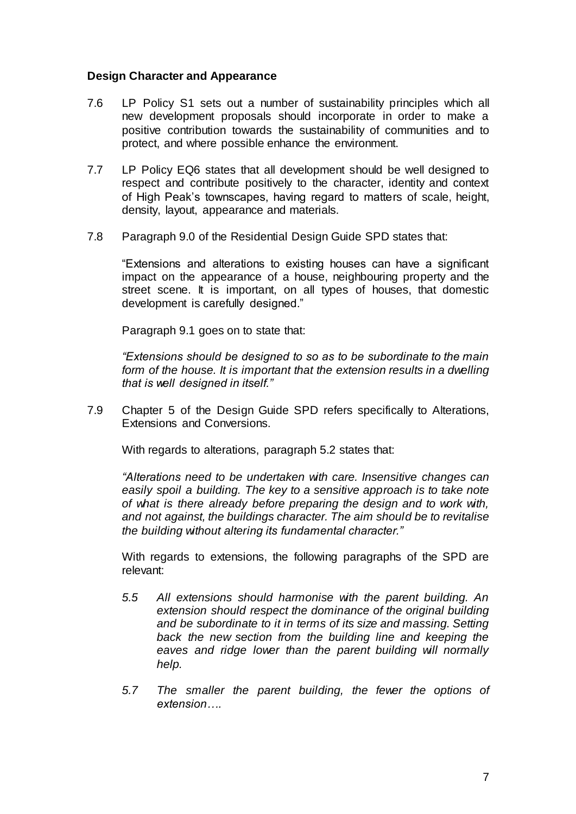#### **Design Character and Appearance**

- 7.6 LP Policy S1 sets out a number of sustainability principles which all new development proposals should incorporate in order to make a positive contribution towards the sustainability of communities and to protect, and where possible enhance the environment.
- 7.7 LP Policy EQ6 states that all development should be well designed to respect and contribute positively to the character, identity and context of High Peak's townscapes, having regard to matters of scale, height, density, layout, appearance and materials.
- 7.8 Paragraph 9.0 of the Residential Design Guide SPD states that:

"Extensions and alterations to existing houses can have a significant impact on the appearance of a house, neighbouring property and the street scene. It is important, on all types of houses, that domestic development is carefully designed."

Paragraph 9.1 goes on to state that:

*"Extensions should be designed to so as to be subordinate to the main form of the house. It is important that the extension results in a dwelling that is well designed in itself."*

7.9 Chapter 5 of the Design Guide SPD refers specifically to Alterations, Extensions and Conversions.

With regards to alterations, paragraph 5.2 states that:

*"Alterations need to be undertaken with care. Insensitive changes can easily spoil a building. The key to a sensitive approach is to take note of what is there already before preparing the design and to work with, and not against, the buildings character. The aim should be to revitalise the building without altering its fundamental character."*

With regards to extensions, the following paragraphs of the SPD are relevant:

- *5.5 All extensions should harmonise with the parent building. An extension should respect the dominance of the original building and be subordinate to it in terms of its size and massing. Setting back the new section from the building line and keeping the eaves and ridge lower than the parent building will normally help.*
- *5.7 The smaller the parent building, the fewer the options of extension….*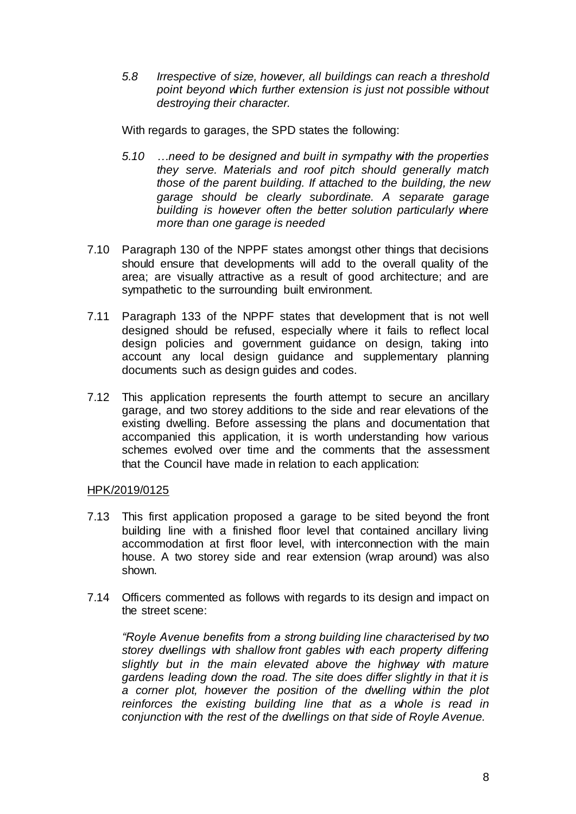*5.8 Irrespective of size, however, all buildings can reach a threshold point beyond which further extension is just not possible without destroying their character.*

With regards to garages, the SPD states the following:

- *5.10 …need to be designed and built in sympathy with the properties they serve. Materials and roof pitch should generally match those of the parent building. If attached to the building, the new garage should be clearly subordinate. A separate garage building is however often the better solution particularly where more than one garage is needed*
- 7.10 Paragraph 130 of the NPPF states amongst other things that decisions should ensure that developments will add to the overall quality of the area; are visually attractive as a result of good architecture; and are sympathetic to the surrounding built environment.
- 7.11 Paragraph 133 of the NPPF states that development that is not well designed should be refused, especially where it fails to reflect local design policies and government guidance on design, taking into account any local design guidance and supplementary planning documents such as design guides and codes.
- 7.12 This application represents the fourth attempt to secure an ancillary garage, and two storey additions to the side and rear elevations of the existing dwelling. Before assessing the plans and documentation that accompanied this application, it is worth understanding how various schemes evolved over time and the comments that the assessment that the Council have made in relation to each application:

#### HPK/2019/0125

- 7.13 This first application proposed a garage to be sited beyond the front building line with a finished floor level that contained ancillary living accommodation at first floor level, with interconnection with the main house. A two storey side and rear extension (wrap around) was also shown.
- 7.14 Officers commented as follows with regards to its design and impact on the street scene:

*"Royle Avenue benefits from a strong building line characterised by two storey dwellings with shallow front gables with each property differing slightly but in the main elevated above the highway with mature gardens leading down the road. The site does differ slightly in that it is a corner plot, however the position of the dwelling within the plot reinforces the existing building line that as a whole is read in conjunction with the rest of the dwellings on that side of Royle Avenue.*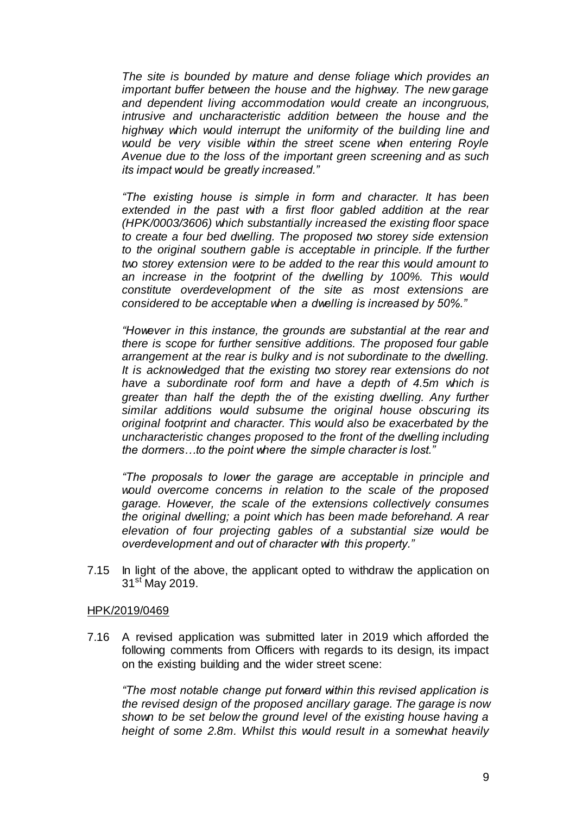*The site is bounded by mature and dense foliage which provides an important buffer between the house and the highway. The new garage and dependent living accommodation would create an incongruous, intrusive and uncharacteristic addition between the house and the highway which would interrupt the uniformity of the building line and*  would be very visible within the street scene when entering Royle *Avenue due to the loss of the important green screening and as such its impact would be greatly increased."*

*"The existing house is simple in form and character. It has been*  extended in the past with a first floor gabled addition at the rear *(HPK/0003/3606) which substantially increased the existing floor space to create a four bed dwelling. The proposed two storey side extension*  to the original southern gable is acceptable in principle. If the further *two storey extension were to be added to the rear this would amount to an increase in the footprint of the dwelling by 100%. This would constitute overdevelopment of the site as most extensions are considered to be acceptable when a dwelling is increased by 50%."*

*"However in this instance, the grounds are substantial at the rear and there is scope for further sensitive additions. The proposed four gable arrangement at the rear is bulky and is not subordinate to the dwelling. It is acknowledged that the existing two storey rear extensions do not have a subordinate roof form and have a depth of 4.5m which is greater than half the depth the of the existing dwelling. Any further similar additions would subsume the original house obscuring its original footprint and character. This would also be exacerbated by the uncharacteristic changes proposed to the front of the dwelling including the dormers…to the point where the simple character is lost."*

*"The proposals to lower the garage are acceptable in principle and would overcome concerns in relation to the scale of the proposed garage. However, the scale of the extensions collectively consumes the original dwelling; a point which has been made beforehand. A rear elevation of four projecting gables of a substantial size would be overdevelopment and out of character with this property."*

7.15 In light of the above, the applicant opted to withdraw the application on 31<sup>st</sup> May 2019.

#### HPK/2019/0469

7.16 A revised application was submitted later in 2019 which afforded the following comments from Officers with regards to its design, its impact on the existing building and the wider street scene:

*"The most notable change put forward within this revised application is the revised design of the proposed ancillary garage. The garage is now shown to be set below the ground level of the existing house having a height of some 2.8m. Whilst this would result in a somewhat heavily*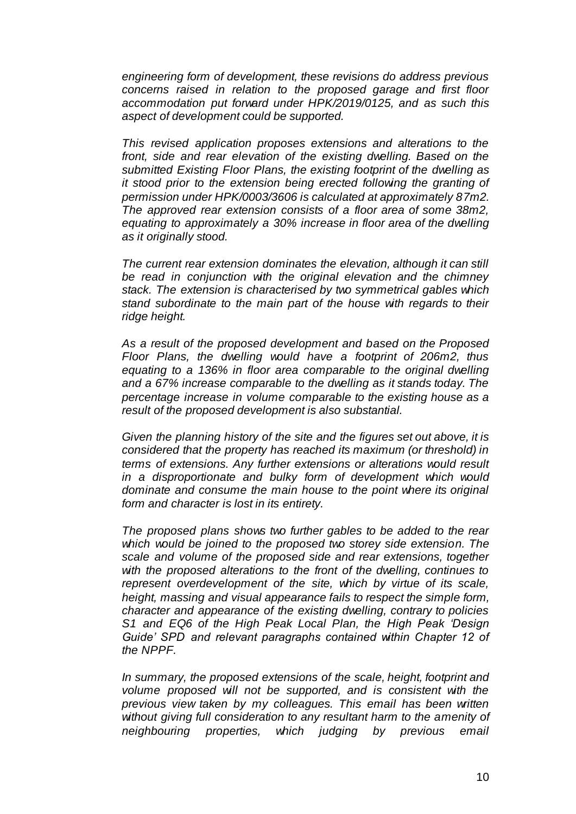*engineering form of development, these revisions do address previous concerns raised in relation to the proposed garage and first floor accommodation put forward under HPK/2019/0125, and as such this aspect of development could be supported.* 

*This revised application proposes extensions and alterations to the front, side and rear elevation of the existing dwelling. Based on the submitted Existing Floor Plans, the existing footprint of the dwelling as it stood prior to the extension being erected following the granting of permission under HPK/0003/3606 is calculated at approximately 87m2. The approved rear extension consists of a floor area of some 38m2, equating to approximately a 30% increase in floor area of the dwelling as it originally stood.* 

*The current rear extension dominates the elevation, although it can still be read in conjunction with the original elevation and the chimney stack. The extension is characterised by two symmetrical gables which stand subordinate to the main part of the house with regards to their ridge height.* 

*As a result of the proposed development and based on the Proposed Floor Plans, the dwelling would have a footprint of 206m2, thus equating to a 136% in floor area comparable to the original dwelling and a 67% increase comparable to the dwelling as it stands today. The percentage increase in volume comparable to the existing house as a result of the proposed development is also substantial.*

*Given the planning history of the site and the figures set out above, it is considered that the property has reached its maximum (or threshold) in terms of extensions. Any further extensions or alterations would result in a disproportionate and bulky form of development which would dominate and consume the main house to the point where its original form and character is lost in its entirety.* 

*The proposed plans shows two further gables to be added to the rear which would be joined to the proposed two storey side extension. The scale and volume of the proposed side and rear extensions, together with the proposed alterations to the front of the dwelling, continues to represent overdevelopment of the site, which by virtue of its scale, height, massing and visual appearance fails to respect the simple form, character and appearance of the existing dwelling, contrary to policies S1 and EQ6 of the High Peak Local Plan, the High Peak 'Design Guide' SPD and relevant paragraphs contained within Chapter 12 of the NPPF.*

*In summary, the proposed extensions of the scale, height, footprint and volume proposed will not be supported, and is consistent with the previous view taken by my colleagues. This email has been written without giving full consideration to any resultant harm to the amenity of neighbouring properties, which judging by previous email*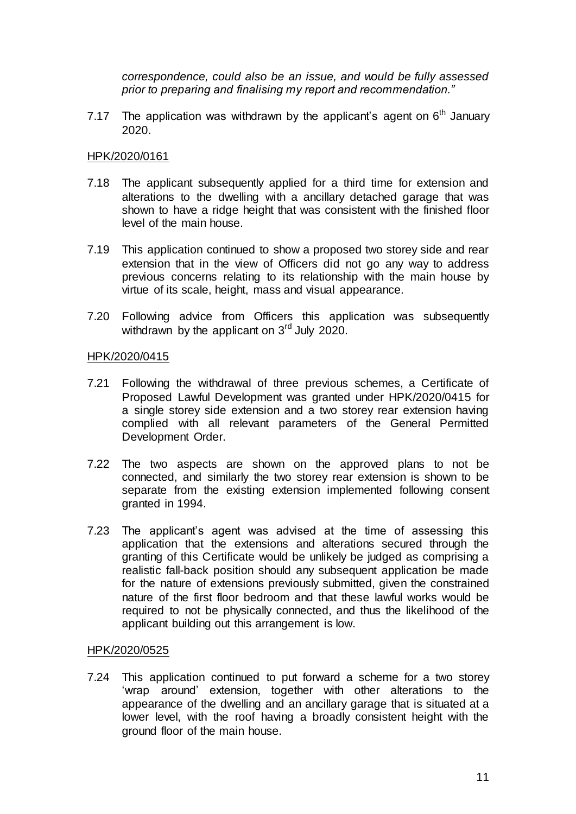*correspondence, could also be an issue, and would be fully assessed prior to preparing and finalising my report and recommendation."* 

7.17 The application was withdrawn by the applicant's agent on  $6<sup>th</sup>$  January 2020.

#### HPK/2020/0161

- 7.18 The applicant subsequently applied for a third time for extension and alterations to the dwelling with a ancillary detached garage that was shown to have a ridge height that was consistent with the finished floor level of the main house.
- 7.19 This application continued to show a proposed two storey side and rear extension that in the view of Officers did not go any way to address previous concerns relating to its relationship with the main house by virtue of its scale, height, mass and visual appearance.
- 7.20 Following advice from Officers this application was subsequently withdrawn by the applicant on 3<sup>rd</sup> July 2020.

#### HPK/2020/0415

- 7.21 Following the withdrawal of three previous schemes, a Certificate of Proposed Lawful Development was granted under HPK/2020/0415 for a single storey side extension and a two storey rear extension having complied with all relevant parameters of the General Permitted Development Order.
- 7.22 The two aspects are shown on the approved plans to not be connected, and similarly the two storey rear extension is shown to be separate from the existing extension implemented following consent granted in 1994.
- 7.23 The applicant's agent was advised at the time of assessing this application that the extensions and alterations secured through the granting of this Certificate would be unlikely be judged as comprising a realistic fall-back position should any subsequent application be made for the nature of extensions previously submitted, given the constrained nature of the first floor bedroom and that these lawful works would be required to not be physically connected, and thus the likelihood of the applicant building out this arrangement is low.

#### HPK/2020/0525

7.24 This application continued to put forward a scheme for a two storey 'wrap around' extension, together with other alterations to the appearance of the dwelling and an ancillary garage that is situated at a lower level, with the roof having a broadly consistent height with the ground floor of the main house.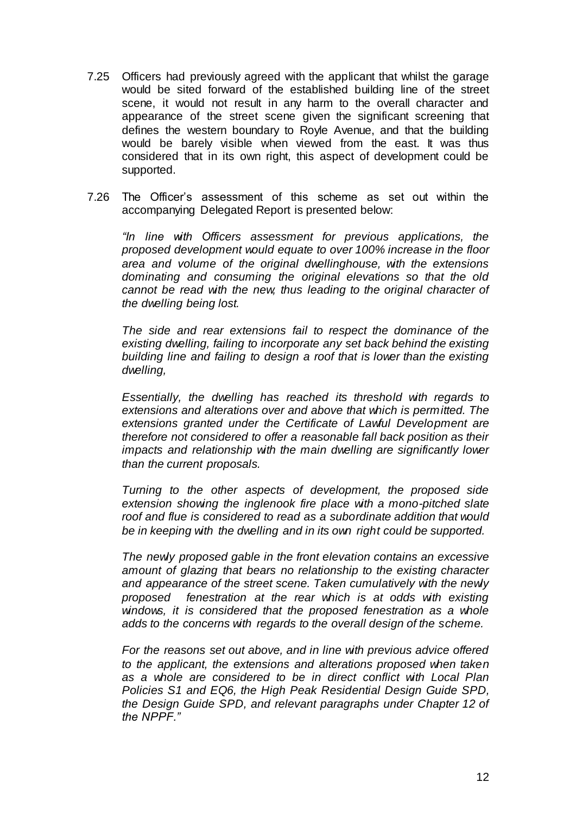- 7.25 Officers had previously agreed with the applicant that whilst the garage would be sited forward of the established building line of the street scene, it would not result in any harm to the overall character and appearance of the street scene given the significant screening that defines the western boundary to Royle Avenue, and that the building would be barely visible when viewed from the east. It was thus considered that in its own right, this aspect of development could be supported.
- 7.26 The Officer's assessment of this scheme as set out within the accompanying Delegated Report is presented below:

*"In line with Officers assessment for previous applications, the proposed development would equate to over 100% increase in the floor area and volume of the original dwellinghouse, with the extensions dominating and consuming the original elevations so that the old cannot be read with the new, thus leading to the original character of the dwelling being lost.*

*The side and rear extensions fail to respect the dominance of the existing dwelling, failing to incorporate any set back behind the existing building line and failing to design a roof that is lower than the existing dwelling,*

*Essentially, the dwelling has reached its threshold with regards to extensions and alterations over and above that which is permitted. The extensions granted under the Certificate of Lawful Development are therefore not considered to offer a reasonable fall back position as their impacts and relationship with the main dwelling are significantly lower than the current proposals.* 

*Turning to the other aspects of development, the proposed side extension showing the inglenook fire place with a mono-pitched slate roof and flue is considered to read as a subordinate addition that would be in keeping with the dwelling and in its own right could be supported.* 

*The newly proposed gable in the front elevation contains an excessive amount of glazing that bears no relationship to the existing character and appearance of the street scene. Taken cumulatively with the newly proposed fenestration at the rear which is at odds with existing windows, it is considered that the proposed fenestration as a whole adds to the concerns with regards to the overall design of the scheme.*

*For the reasons set out above, and in line with previous advice offered to the applicant, the extensions and alterations proposed when taken as a whole are considered to be in direct conflict with Local Plan Policies S1 and EQ6, the High Peak Residential Design Guide SPD, the Design Guide SPD, and relevant paragraphs under Chapter 12 of the NPPF."*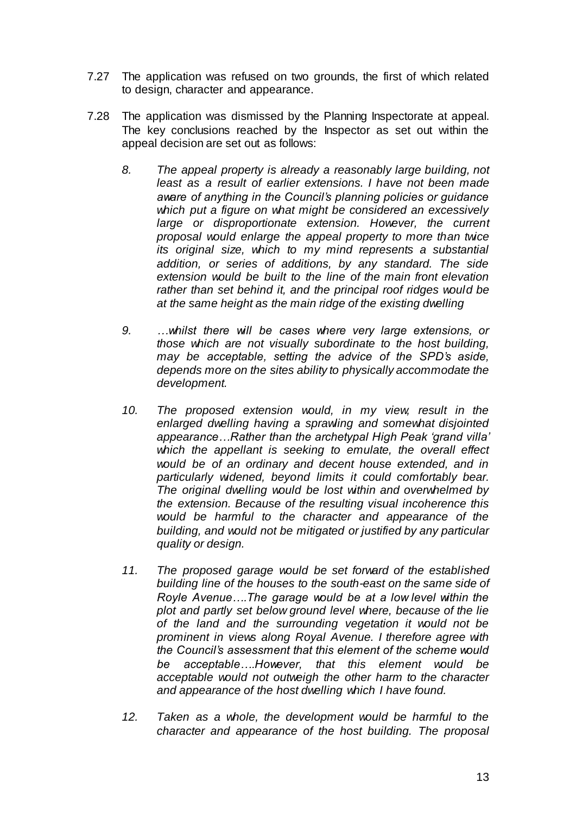- 7.27 The application was refused on two grounds, the first of which related to design, character and appearance.
- 7.28 The application was dismissed by the Planning Inspectorate at appeal. The key conclusions reached by the Inspector as set out within the appeal decision are set out as follows:
	- *8. The appeal property is already a reasonably large building, not least as a result of earlier extensions. I have not been made aware of anything in the Council's planning policies or guidance which put a figure on what might be considered an excessively large or disproportionate extension. However, the current proposal would enlarge the appeal property to more than twice its original size, which to my mind represents a substantial addition, or series of additions, by any standard. The side extension would be built to the line of the main front elevation rather than set behind it, and the principal roof ridges would be at the same height as the main ridge of the existing dwelling*
	- *9. …whilst there will be cases where very large extensions, or those which are not visually subordinate to the host building, may be acceptable, setting the advice of the SPD's aside, depends more on the sites ability to physically accommodate the development.*
	- *10. The proposed extension would, in my view, result in the enlarged dwelling having a sprawling and somewhat disjointed appearance…Rather than the archetypal High Peak 'grand villa' which the appellant is seeking to emulate, the overall effect would be of an ordinary and decent house extended, and in particularly widened, beyond limits it could comfortably bear. The original dwelling would be lost within and overwhelmed by the extension. Because of the resulting visual incoherence this would be harmful to the character and appearance of the building, and would not be mitigated or justified by any particular quality or design.*
	- *11. The proposed garage would be set forward of the established building line of the houses to the south-east on the same side of Royle Avenue….The garage would be at a low level within the plot and partly set below ground level where, because of the lie of the land and the surrounding vegetation it would not be prominent in views along Royal Avenue. I therefore agree with the Council's assessment that this element of the scheme would be acceptable….However, that this element would be acceptable would not outweigh the other harm to the character and appearance of the host dwelling which I have found.*
	- *12. Taken as a whole, the development would be harmful to the character and appearance of the host building. The proposal*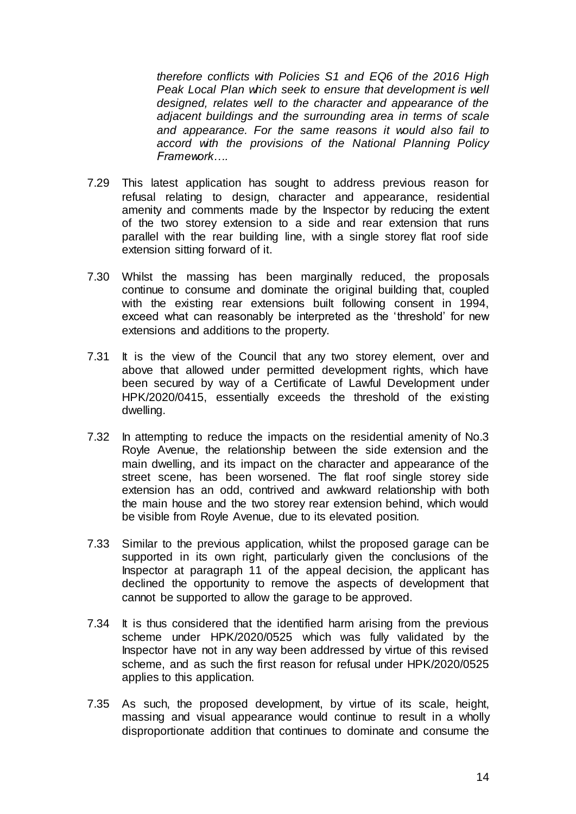*therefore conflicts with Policies S1 and EQ6 of the 2016 High Peak Local Plan which seek to ensure that development is well designed, relates well to the character and appearance of the adjacent buildings and the surrounding area in terms of scale and appearance. For the same reasons it would also fail to accord with the provisions of the National Planning Policy Framework….*

- 7.29 This latest application has sought to address previous reason for refusal relating to design, character and appearance, residential amenity and comments made by the Inspector by reducing the extent of the two storey extension to a side and rear extension that runs parallel with the rear building line, with a single storey flat roof side extension sitting forward of it.
- 7.30 Whilst the massing has been marginally reduced, the proposals continue to consume and dominate the original building that, coupled with the existing rear extensions built following consent in 1994, exceed what can reasonably be interpreted as the 'threshold' for new extensions and additions to the property.
- 7.31 It is the view of the Council that any two storey element, over and above that allowed under permitted development rights, which have been secured by way of a Certificate of Lawful Development under HPK/2020/0415, essentially exceeds the threshold of the existing dwelling.
- 7.32 In attempting to reduce the impacts on the residential amenity of No.3 Royle Avenue, the relationship between the side extension and the main dwelling, and its impact on the character and appearance of the street scene, has been worsened. The flat roof single storey side extension has an odd, contrived and awkward relationship with both the main house and the two storey rear extension behind, which would be visible from Royle Avenue, due to its elevated position.
- 7.33 Similar to the previous application, whilst the proposed garage can be supported in its own right, particularly given the conclusions of the Inspector at paragraph 11 of the appeal decision, the applicant has declined the opportunity to remove the aspects of development that cannot be supported to allow the garage to be approved.
- 7.34 It is thus considered that the identified harm arising from the previous scheme under HPK/2020/0525 which was fully validated by the Inspector have not in any way been addressed by virtue of this revised scheme, and as such the first reason for refusal under HPK/2020/0525 applies to this application.
- 7.35 As such, the proposed development, by virtue of its scale, height, massing and visual appearance would continue to result in a wholly disproportionate addition that continues to dominate and consume the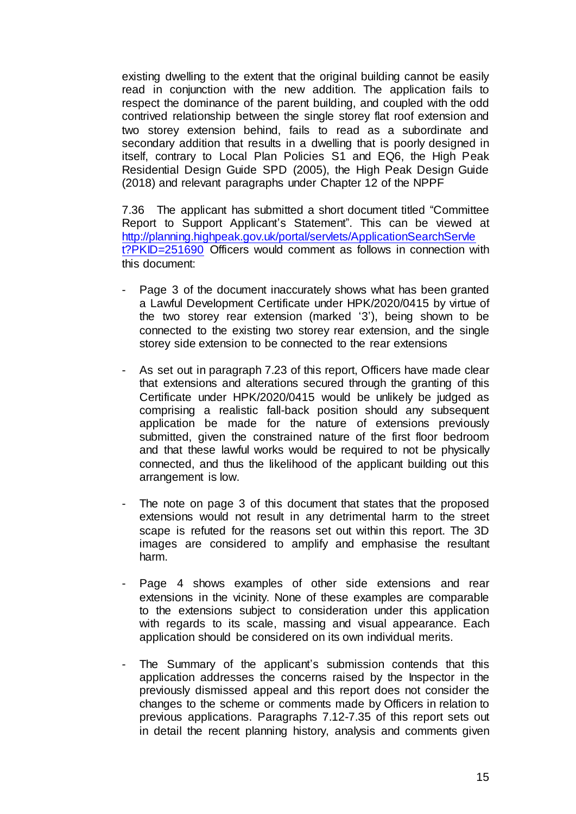existing dwelling to the extent that the original building cannot be easily read in conjunction with the new addition. The application fails to respect the dominance of the parent building, and coupled with the odd contrived relationship between the single storey flat roof extension and two storey extension behind, fails to read as a subordinate and secondary addition that results in a dwelling that is poorly designed in itself, contrary to Local Plan Policies S1 and EQ6, the High Peak Residential Design Guide SPD (2005), the High Peak Design Guide (2018) and relevant paragraphs under Chapter 12 of the NPPF

7.36 The applicant has submitted a short document titled "Committee Report to Support Applicant's Statement". This can be viewed at [http://planning.highpeak.gov.uk/portal/servlets/ApplicationSearchServle](http://planning.highpeak.gov.uk/portal/servlets/ApplicationSearchServlet?PKID=251690) [t?PKID=251690](http://planning.highpeak.gov.uk/portal/servlets/ApplicationSearchServlet?PKID=251690) Officers would comment as follows in connection with this document:

- Page 3 of the document inaccurately shows what has been granted a Lawful Development Certificate under HPK/2020/0415 by virtue of the two storey rear extension (marked '3'), being shown to be connected to the existing two storey rear extension, and the single storey side extension to be connected to the rear extensions
- As set out in paragraph 7.23 of this report, Officers have made clear that extensions and alterations secured through the granting of this Certificate under HPK/2020/0415 would be unlikely be judged as comprising a realistic fall-back position should any subsequent application be made for the nature of extensions previously submitted, given the constrained nature of the first floor bedroom and that these lawful works would be required to not be physically connected, and thus the likelihood of the applicant building out this arrangement is low.
- The note on page 3 of this document that states that the proposed extensions would not result in any detrimental harm to the street scape is refuted for the reasons set out within this report. The 3D images are considered to amplify and emphasise the resultant harm.
- Page 4 shows examples of other side extensions and rear extensions in the vicinity. None of these examples are comparable to the extensions subject to consideration under this application with regards to its scale, massing and visual appearance. Each application should be considered on its own individual merits.
- The Summary of the applicant's submission contends that this application addresses the concerns raised by the Inspector in the previously dismissed appeal and this report does not consider the changes to the scheme or comments made by Officers in relation to previous applications. Paragraphs 7.12-7.35 of this report sets out in detail the recent planning history, analysis and comments given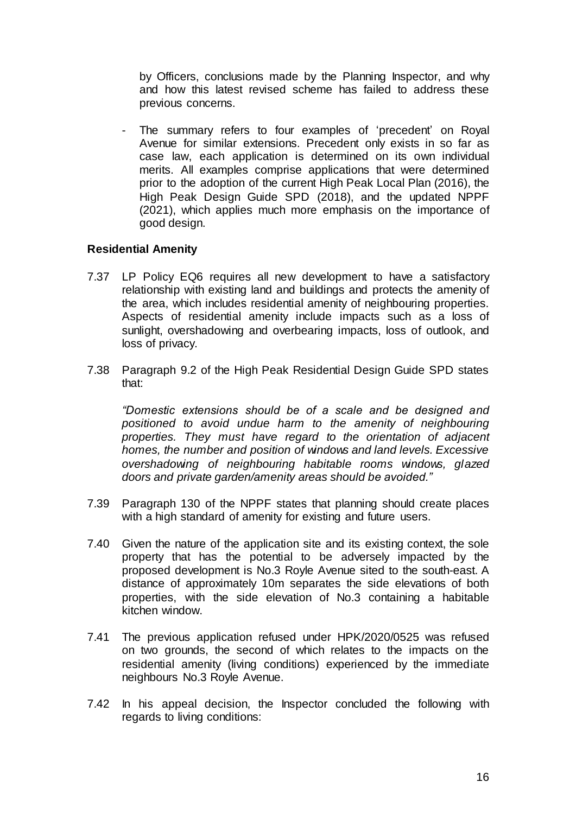by Officers, conclusions made by the Planning Inspector, and why and how this latest revised scheme has failed to address these previous concerns.

The summary refers to four examples of 'precedent' on Royal Avenue for similar extensions. Precedent only exists in so far as case law, each application is determined on its own individual merits. All examples comprise applications that were determined prior to the adoption of the current High Peak Local Plan (2016), the High Peak Design Guide SPD (2018), and the updated NPPF (2021), which applies much more emphasis on the importance of good design.

#### **Residential Amenity**

- 7.37 LP Policy EQ6 requires all new development to have a satisfactory relationship with existing land and buildings and protects the amenity of the area, which includes residential amenity of neighbouring properties. Aspects of residential amenity include impacts such as a loss of sunlight, overshadowing and overbearing impacts, loss of outlook, and loss of privacy.
- 7.38 Paragraph 9.2 of the High Peak Residential Design Guide SPD states that:

*"Domestic extensions should be of a scale and be designed and positioned to avoid undue harm to the amenity of neighbouring properties. They must have regard to the orientation of adjacent homes, the number and position of windows and land levels. Excessive overshadowing of neighbouring habitable rooms windows, glazed doors and private garden/amenity areas should be avoided."*

- 7.39 Paragraph 130 of the NPPF states that planning should create places with a high standard of amenity for existing and future users.
- 7.40 Given the nature of the application site and its existing context, the sole property that has the potential to be adversely impacted by the proposed development is No.3 Royle Avenue sited to the south-east. A distance of approximately 10m separates the side elevations of both properties, with the side elevation of No.3 containing a habitable kitchen window.
- 7.41 The previous application refused under HPK/2020/0525 was refused on two grounds, the second of which relates to the impacts on the residential amenity (living conditions) experienced by the immediate neighbours No.3 Royle Avenue.
- 7.42 In his appeal decision, the Inspector concluded the following with regards to living conditions: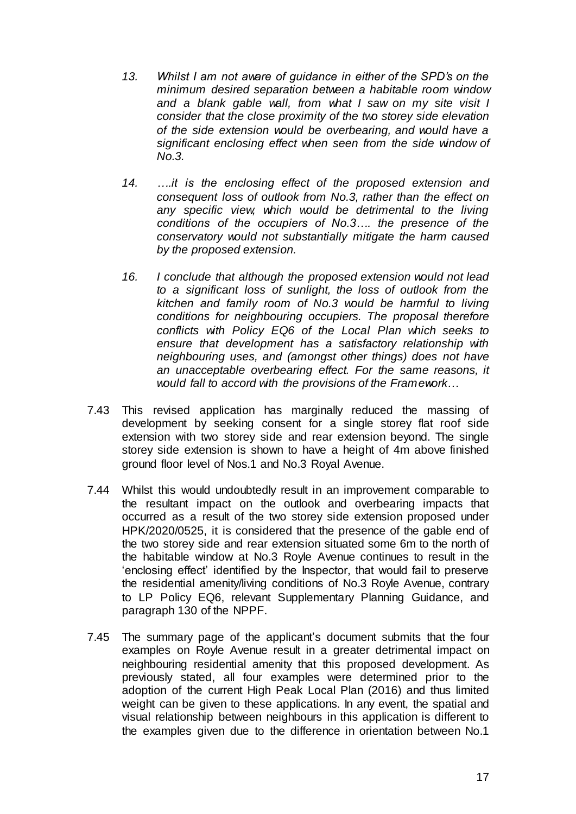- *13. Whilst I am not aware of guidance in either of the SPD's on the minimum desired separation between a habitable room window and a blank gable wall, from what I saw on my site visit I consider that the close proximity of the two storey side elevation of the side extension would be overbearing, and would have a significant enclosing effect when seen from the side window of No.3.*
- *14. ….it is the enclosing effect of the proposed extension and consequent loss of outlook from No.3, rather than the effect on any specific view, which would be detrimental to the living conditions of the occupiers of No.3…. the presence of the conservatory would not substantially mitigate the harm caused by the proposed extension.*
- *16. I conclude that although the proposed extension would not lead to a significant loss of sunlight, the loss of outlook from the kitchen and family room of No.3 would be harmful to living conditions for neighbouring occupiers. The proposal therefore conflicts with Policy EQ6 of the Local Plan which seeks to ensure that development has a satisfactory relationship with neighbouring uses, and (amongst other things) does not have an unacceptable overbearing effect. For the same reasons, it would fall to accord with the provisions of the Framework…*
- 7.43 This revised application has marginally reduced the massing of development by seeking consent for a single storey flat roof side extension with two storey side and rear extension beyond. The single storey side extension is shown to have a height of 4m above finished ground floor level of Nos.1 and No.3 Royal Avenue.
- 7.44 Whilst this would undoubtedly result in an improvement comparable to the resultant impact on the outlook and overbearing impacts that occurred as a result of the two storey side extension proposed under HPK/2020/0525, it is considered that the presence of the gable end of the two storey side and rear extension situated some 6m to the north of the habitable window at No.3 Royle Avenue continues to result in the 'enclosing effect' identified by the Inspector, that would fail to preserve the residential amenity/living conditions of No.3 Royle Avenue, contrary to LP Policy EQ6, relevant Supplementary Planning Guidance, and paragraph 130 of the NPPF.
- 7.45 The summary page of the applicant's document submits that the four examples on Royle Avenue result in a greater detrimental impact on neighbouring residential amenity that this proposed development. As previously stated, all four examples were determined prior to the adoption of the current High Peak Local Plan (2016) and thus limited weight can be given to these applications. In any event, the spatial and visual relationship between neighbours in this application is different to the examples given due to the difference in orientation between No.1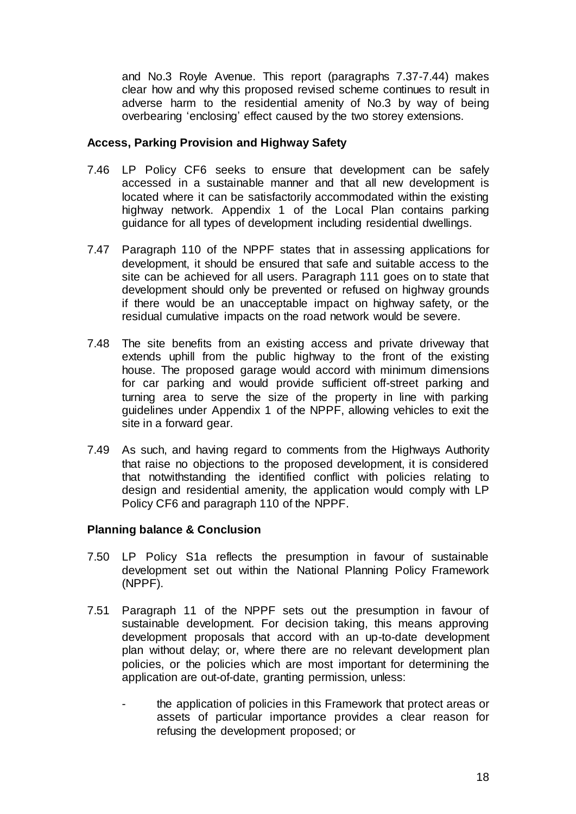and No.3 Royle Avenue. This report (paragraphs 7.37-7.44) makes clear how and why this proposed revised scheme continues to result in adverse harm to the residential amenity of No.3 by way of being overbearing 'enclosing' effect caused by the two storey extensions.

#### **Access, Parking Provision and Highway Safety**

- 7.46 LP Policy CF6 seeks to ensure that development can be safely accessed in a sustainable manner and that all new development is located where it can be satisfactorily accommodated within the existing highway network. Appendix 1 of the Local Plan contains parking guidance for all types of development including residential dwellings.
- 7.47 Paragraph 110 of the NPPF states that in assessing applications for development, it should be ensured that safe and suitable access to the site can be achieved for all users. Paragraph 111 goes on to state that development should only be prevented or refused on highway grounds if there would be an unacceptable impact on highway safety, or the residual cumulative impacts on the road network would be severe.
- 7.48 The site benefits from an existing access and private driveway that extends uphill from the public highway to the front of the existing house. The proposed garage would accord with minimum dimensions for car parking and would provide sufficient off-street parking and turning area to serve the size of the property in line with parking guidelines under Appendix 1 of the NPPF, allowing vehicles to exit the site in a forward gear.
- 7.49 As such, and having regard to comments from the Highways Authority that raise no objections to the proposed development, it is considered that notwithstanding the identified conflict with policies relating to design and residential amenity, the application would comply with LP Policy CF6 and paragraph 110 of the NPPF.

### **Planning balance & Conclusion**

- 7.50 LP Policy S1a reflects the presumption in favour of sustainable development set out within the National Planning Policy Framework (NPPF).
- 7.51 Paragraph 11 of the NPPF sets out the presumption in favour of sustainable development. For decision taking, this means approving development proposals that accord with an up-to-date development plan without delay; or, where there are no relevant development plan policies, or the policies which are most important for determining the application are out-of-date, granting permission, unless:
	- the application of policies in this Framework that protect areas or assets of particular importance provides a clear reason for refusing the development proposed; or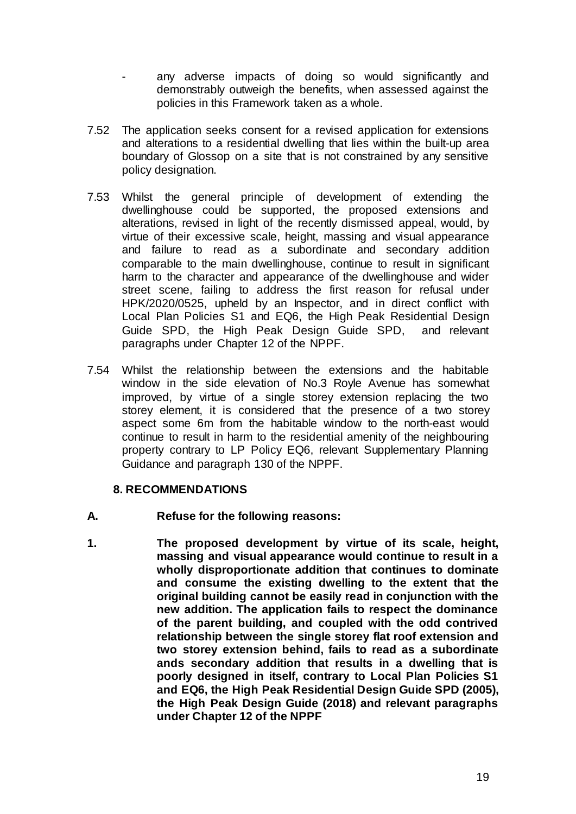- any adverse impacts of doing so would significantly and demonstrably outweigh the benefits, when assessed against the policies in this Framework taken as a whole.
- 7.52 The application seeks consent for a revised application for extensions and alterations to a residential dwelling that lies within the built-up area boundary of Glossop on a site that is not constrained by any sensitive policy designation.
- 7.53 Whilst the general principle of development of extending the dwellinghouse could be supported, the proposed extensions and alterations, revised in light of the recently dismissed appeal, would, by virtue of their excessive scale, height, massing and visual appearance and failure to read as a subordinate and secondary addition comparable to the main dwellinghouse, continue to result in significant harm to the character and appearance of the dwellinghouse and wider street scene, failing to address the first reason for refusal under HPK/2020/0525, upheld by an Inspector, and in direct conflict with Local Plan Policies S1 and EQ6, the High Peak Residential Design Guide SPD, the High Peak Design Guide SPD, and relevant paragraphs under Chapter 12 of the NPPF.
- 7.54 Whilst the relationship between the extensions and the habitable window in the side elevation of No.3 Royle Avenue has somewhat improved, by virtue of a single storey extension replacing the two storey element, it is considered that the presence of a two storey aspect some 6m from the habitable window to the north-east would continue to result in harm to the residential amenity of the neighbouring property contrary to LP Policy EQ6, relevant Supplementary Planning Guidance and paragraph 130 of the NPPF.

#### **8. RECOMMENDATIONS**

- **A. Refuse for the following reasons:**
- **1. The proposed development by virtue of its scale, height, massing and visual appearance would continue to result in a wholly disproportionate addition that continues to dominate and consume the existing dwelling to the extent that the original building cannot be easily read in conjunction with the new addition. The application fails to respect the dominance of the parent building, and coupled with the odd contrived relationship between the single storey flat roof extension and two storey extension behind, fails to read as a subordinate ands secondary addition that results in a dwelling that is poorly designed in itself, contrary to Local Plan Policies S1 and EQ6, the High Peak Residential Design Guide SPD (2005), the High Peak Design Guide (2018) and relevant paragraphs under Chapter 12 of the NPPF**